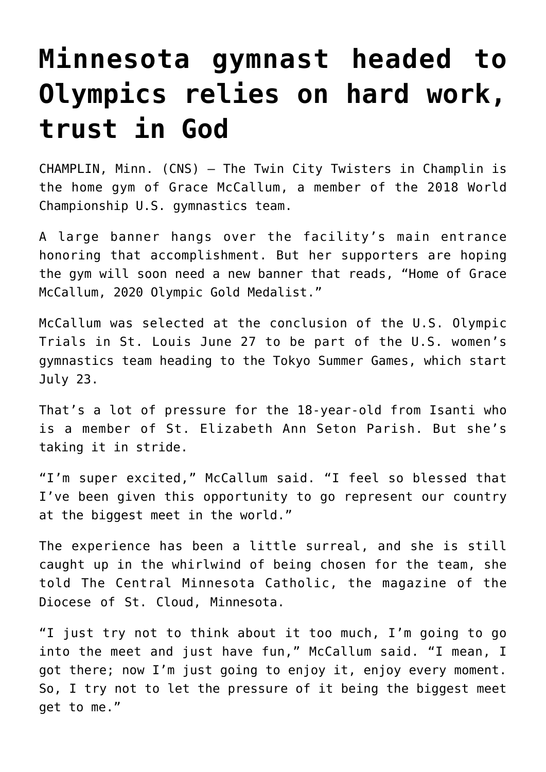## **[Minnesota gymnast headed to](https://www.osvnews.com/amp/2021/07/14/minnesota-gymnast-headed-to-olympics-relies-on-hard-work-trust-in-god/) [Olympics relies on hard work,](https://www.osvnews.com/amp/2021/07/14/minnesota-gymnast-headed-to-olympics-relies-on-hard-work-trust-in-god/) [trust in God](https://www.osvnews.com/amp/2021/07/14/minnesota-gymnast-headed-to-olympics-relies-on-hard-work-trust-in-god/)**

CHAMPLIN, Minn. (CNS) — The Twin City Twisters in Champlin is the home gym of Grace McCallum, a member of the 2018 World Championship U.S. gymnastics team.

A large banner hangs over the facility's main entrance honoring that accomplishment. But her supporters are hoping the gym will soon need a new banner that reads, "Home of Grace McCallum, 2020 Olympic Gold Medalist."

McCallum was selected at the conclusion of the U.S. Olympic Trials in St. Louis June 27 to be part of the U.S. women's gymnastics team heading to the Tokyo Summer Games, which start July 23.

That's a lot of pressure for the 18-year-old from Isanti who is a member of St. Elizabeth Ann Seton Parish. But she's taking it in stride.

"I'm super excited," McCallum said. "I feel so blessed that I've been given this opportunity to go represent our country at the biggest meet in the world."

The experience has been a little surreal, and she is still caught up in the whirlwind of being chosen for the team, she told The Central Minnesota Catholic, the magazine of the Diocese of St. Cloud, Minnesota.

"I just try not to think about it too much, I'm going to go into the meet and just have fun," McCallum said. "I mean, I got there; now I'm just going to enjoy it, enjoy every moment. So, I try not to let the pressure of it being the biggest meet get to me."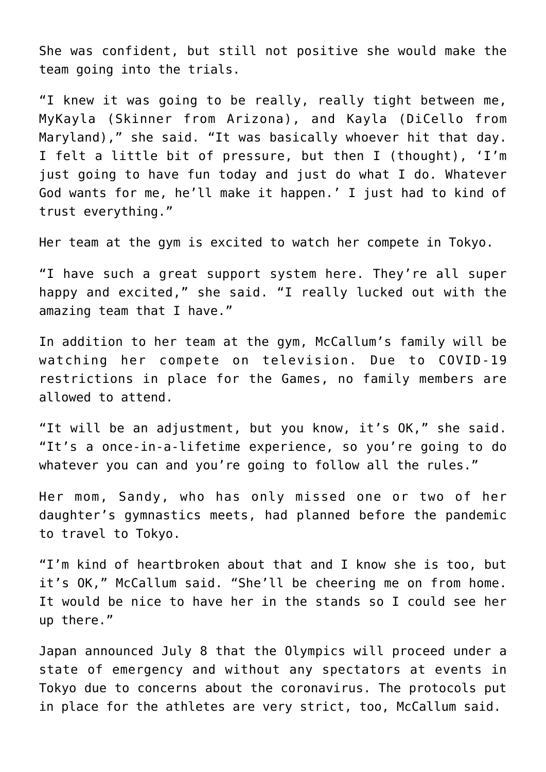She was confident, but still not positive she would make the team going into the trials.

"I knew it was going to be really, really tight between me, MyKayla (Skinner from Arizona), and Kayla (DiCello from Maryland)," she said. "It was basically whoever hit that day. I felt a little bit of pressure, but then I (thought), 'I'm just going to have fun today and just do what I do. Whatever God wants for me, he'll make it happen.' I just had to kind of trust everything."

Her team at the gym is excited to watch her compete in Tokyo.

"I have such a great support system here. They're all super happy and excited," she said. "I really lucked out with the amazing team that I have."

In addition to her team at the gym, McCallum's family will be watching her compete on television. Due to COVID-19 restrictions in place for the Games, no family members are allowed to attend.

"It will be an adjustment, but you know, it's OK," she said. "It's a once-in-a-lifetime experience, so you're going to do whatever you can and you're going to follow all the rules."

Her mom, Sandy, who has only missed one or two of her daughter's gymnastics meets, had planned before the pandemic to travel to Tokyo.

"I'm kind of heartbroken about that and I know she is too, but it's OK," McCallum said. "She'll be cheering me on from home. It would be nice to have her in the stands so I could see her up there."

Japan announced July 8 that the Olympics will proceed under a state of emergency and without any spectators at events in Tokyo due to concerns about the coronavirus. The protocols put in place for the athletes are very strict, too, McCallum said.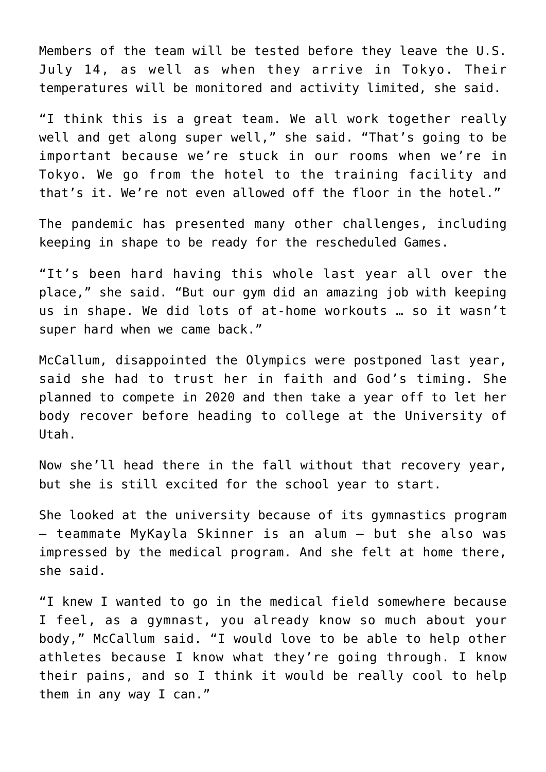Members of the team will be tested before they leave the U.S. July 14, as well as when they arrive in Tokyo. Their temperatures will be monitored and activity limited, she said.

"I think this is a great team. We all work together really well and get along super well," she said. "That's going to be important because we're stuck in our rooms when we're in Tokyo. We go from the hotel to the training facility and that's it. We're not even allowed off the floor in the hotel."

The pandemic has presented many other challenges, including keeping in shape to be ready for the rescheduled Games.

"It's been hard having this whole last year all over the place," she said. "But our gym did an amazing job with keeping us in shape. We did lots of at-home workouts … so it wasn't super hard when we came back."

McCallum, disappointed the Olympics were postponed last year, said she had to trust her in faith and God's timing. She planned to compete in 2020 and then take a year off to let her body recover before heading to college at the University of Utah.

Now she'll head there in the fall without that recovery year, but she is still excited for the school year to start.

She looked at the university because of its gymnastics program — teammate MyKayla Skinner is an alum — but she also was impressed by the medical program. And she felt at home there, she said.

"I knew I wanted to go in the medical field somewhere because I feel, as a gymnast, you already know so much about your body," McCallum said. "I would love to be able to help other athletes because I know what they're going through. I know their pains, and so I think it would be really cool to help them in any way I can."